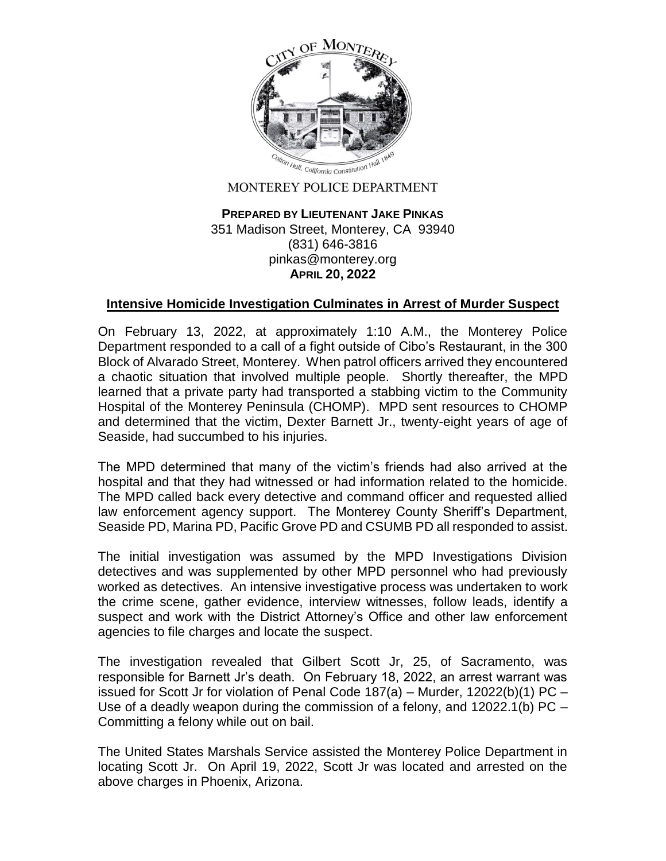

## MONTEREY POLICE DEPARTMENT

## **PREPARED BY LIEUTENANT JAKE PINKAS** 351 Madison Street, Monterey, CA 93940 (831) 646-3816 pinkas@monterey.org **APRIL 20, 2022**

## **Intensive Homicide Investigation Culminates in Arrest of Murder Suspect**

On February 13, 2022, at approximately 1:10 A.M., the Monterey Police Department responded to a call of a fight outside of Cibo's Restaurant, in the 300 Block of Alvarado Street, Monterey. When patrol officers arrived they encountered a chaotic situation that involved multiple people. Shortly thereafter, the MPD learned that a private party had transported a stabbing victim to the Community Hospital of the Monterey Peninsula (CHOMP). MPD sent resources to CHOMP and determined that the victim, Dexter Barnett Jr., twenty-eight years of age of Seaside, had succumbed to his injuries.

The MPD determined that many of the victim's friends had also arrived at the hospital and that they had witnessed or had information related to the homicide. The MPD called back every detective and command officer and requested allied law enforcement agency support. The Monterey County Sheriff's Department, Seaside PD, Marina PD, Pacific Grove PD and CSUMB PD all responded to assist.

The initial investigation was assumed by the MPD Investigations Division detectives and was supplemented by other MPD personnel who had previously worked as detectives. An intensive investigative process was undertaken to work the crime scene, gather evidence, interview witnesses, follow leads, identify a suspect and work with the District Attorney's Office and other law enforcement agencies to file charges and locate the suspect.

The investigation revealed that Gilbert Scott Jr, 25, of Sacramento, was responsible for Barnett Jr's death. On February 18, 2022, an arrest warrant was issued for Scott Jr for violation of Penal Code  $187(a)$  – Murder,  $12022(b)(1)$  PC – Use of a deadly weapon during the commission of a felony, and 12022.1(b) PC – Committing a felony while out on bail.

The United States Marshals Service assisted the Monterey Police Department in locating Scott Jr. On April 19, 2022, Scott Jr was located and arrested on the above charges in Phoenix, Arizona.